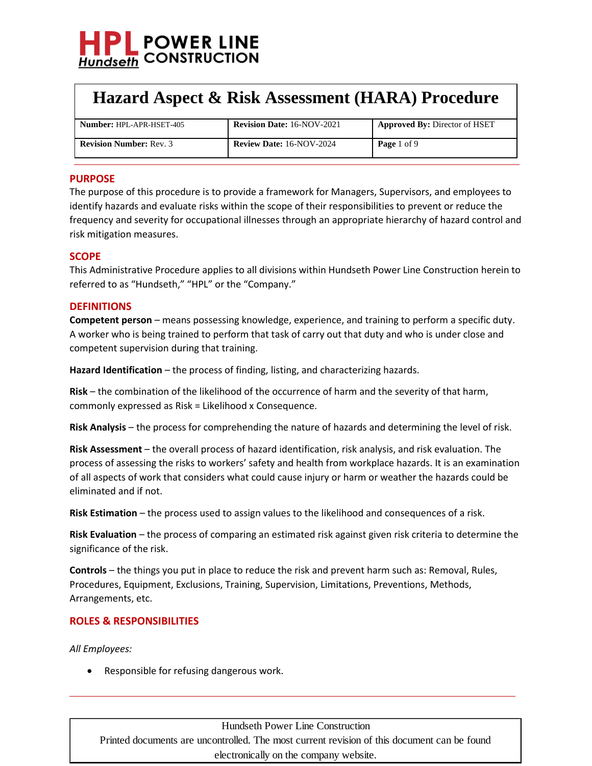

| Number: HPL-APR-HSET-405       | <b>Revision Date: 16-NOV-2021</b> | <b>Approved By: Director of HSET</b> |
|--------------------------------|-----------------------------------|--------------------------------------|
| <b>Revision Number: Rev. 3</b> | <b>Review Date: 16-NOV-2024</b>   | Page 1 of 9                          |

## **PURPOSE**

The purpose of this procedure is to provide a framework for Managers, Supervisors, and employees to identify hazards and evaluate risks within the scope of their responsibilities to prevent or reduce the frequency and severity for occupational illnesses through an appropriate hierarchy of hazard control and risk mitigation measures.

### **SCOPE**

This Administrative Procedure applies to all divisions within Hundseth Power Line Construction herein to referred to as "Hundseth," "HPL" or the "Company."

### **DEFINITIONS**

**Competent person** – means possessing knowledge, experience, and training to perform a specific duty. A worker who is being trained to perform that task of carry out that duty and who is under close and competent supervision during that training.

**Hazard Identification** – the process of finding, listing, and characterizing hazards.

**Risk** – the combination of the likelihood of the occurrence of harm and the severity of that harm, commonly expressed as Risk = Likelihood x Consequence.

**Risk Analysis** – the process for comprehending the nature of hazards and determining the level of risk.

**Risk Assessment** – the overall process of hazard identification, risk analysis, and risk evaluation. The process of assessing the risks to workers' safety and health from workplace hazards. It is an examination of all aspects of work that considers what could cause injury or harm or weather the hazards could be eliminated and if not.

**Risk Estimation** – the process used to assign values to the likelihood and consequences of a risk.

**Risk Evaluation** – the process of comparing an estimated risk against given risk criteria to determine the significance of the risk.

**Controls** – the things you put in place to reduce the risk and prevent harm such as: Removal, Rules, Procedures, Equipment, Exclusions, Training, Supervision, Limitations, Preventions, Methods, Arrangements, etc.

## **ROLES & RESPONSIBILITIES**

*All Employees:*

• Responsible for refusing dangerous work.

Hundseth Power Line Construction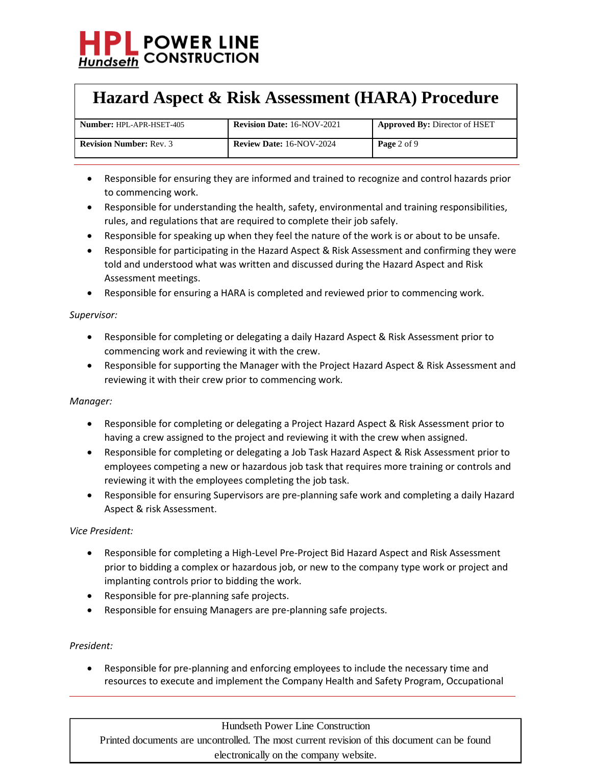

| <b>Number: HPL-APR-HSET-405</b> | <b>Revision Date: 16-NOV-2021</b> | <b>Approved By: Director of HSET</b> |
|---------------------------------|-----------------------------------|--------------------------------------|
| <b>Revision Number: Rev. 3</b>  | <b>Review Date: 16-NOV-2024</b>   | <b>Page</b> $2$ of $9$               |

- Responsible for ensuring they are informed and trained to recognize and control hazards prior to commencing work.
- Responsible for understanding the health, safety, environmental and training responsibilities, rules, and regulations that are required to complete their job safely.
- Responsible for speaking up when they feel the nature of the work is or about to be unsafe.
- Responsible for participating in the Hazard Aspect & Risk Assessment and confirming they were told and understood what was written and discussed during the Hazard Aspect and Risk Assessment meetings.
- Responsible for ensuring a HARA is completed and reviewed prior to commencing work.

## *Supervisor:*

- Responsible for completing or delegating a daily Hazard Aspect & Risk Assessment prior to commencing work and reviewing it with the crew.
- Responsible for supporting the Manager with the Project Hazard Aspect & Risk Assessment and reviewing it with their crew prior to commencing work.

## *Manager:*

- Responsible for completing or delegating a Project Hazard Aspect & Risk Assessment prior to having a crew assigned to the project and reviewing it with the crew when assigned.
- Responsible for completing or delegating a Job Task Hazard Aspect & Risk Assessment prior to employees competing a new or hazardous job task that requires more training or controls and reviewing it with the employees completing the job task.
- Responsible for ensuring Supervisors are pre-planning safe work and completing a daily Hazard Aspect & risk Assessment.

# *Vice President:*

- Responsible for completing a High-Level Pre-Project Bid Hazard Aspect and Risk Assessment prior to bidding a complex or hazardous job, or new to the company type work or project and implanting controls prior to bidding the work.
- Responsible for pre-planning safe projects.
- Responsible for ensuing Managers are pre-planning safe projects.

## *President:*

• Responsible for pre-planning and enforcing employees to include the necessary time and resources to execute and implement the Company Health and Safety Program, Occupational

# Hundseth Power Line Construction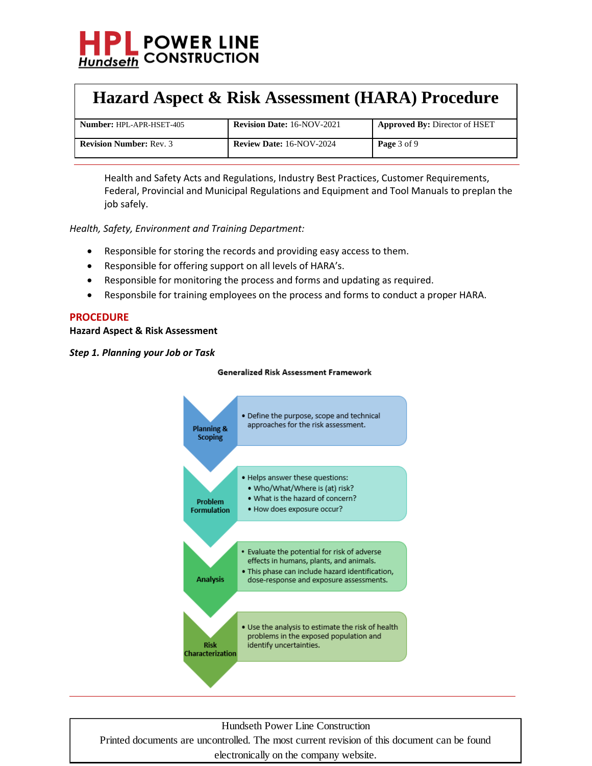

| <b>Number: HPL-APR-HSET-405</b> | <b>Revision Date: 16-NOV-2021</b> | <b>Approved By: Director of HSET</b> |
|---------------------------------|-----------------------------------|--------------------------------------|
| <b>Revision Number: Rev. 3</b>  | <b>Review Date: 16-NOV-2024</b>   | Page 3 of 9                          |

Health and Safety Acts and Regulations, Industry Best Practices, Customer Requirements, Federal, Provincial and Municipal Regulations and Equipment and Tool Manuals to preplan the job safely.

*Health, Safety, Environment and Training Department:*

- Responsible for storing the records and providing easy access to them.
- Responsible for offering support on all levels of HARA's.
- Responsible for monitoring the process and forms and updating as required.
- Responsbile for training employees on the process and forms to conduct a proper HARA.

### **PROCEDURE**

### **Hazard Aspect & Risk Assessment**

### *Step 1. Planning your Job or Task*

#### **Generalized Risk Assessment Framework**



Hundseth Power Line Construction Printed documents are uncontrolled. The most current revision of this document can be found

### electronically on the company website.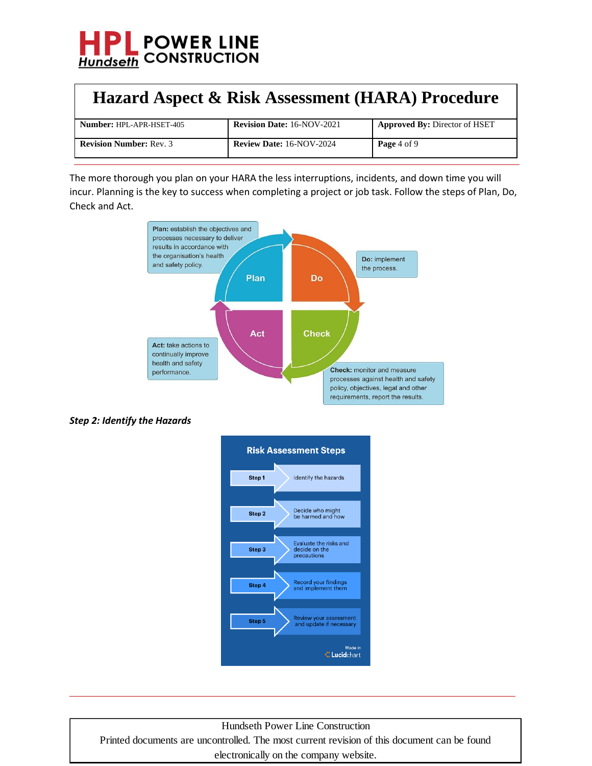

| <b>Hazard Aspect &amp; Risk Assessment (HARA) Procedure</b> |                                   |                                      |  |
|-------------------------------------------------------------|-----------------------------------|--------------------------------------|--|
| Number: HPL-APR-HSET-405                                    | <b>Revision Date: 16-NOV-2021</b> | <b>Approved By: Director of HSET</b> |  |
| <b>Revision Number: Rev. 3</b>                              | <b>Review Date: 16-NOV-2024</b>   | <b>Page</b> 4 of 9                   |  |

The more thorough you plan on your HARA the less interruptions, incidents, and down time you will incur. Planning is the key to success when completing a project or job task. Follow the steps of Plan, Do, Check and Act.







Hundseth Power Line Construction Printed documents are uncontrolled. The most current revision of this document can be found electronically on the company website.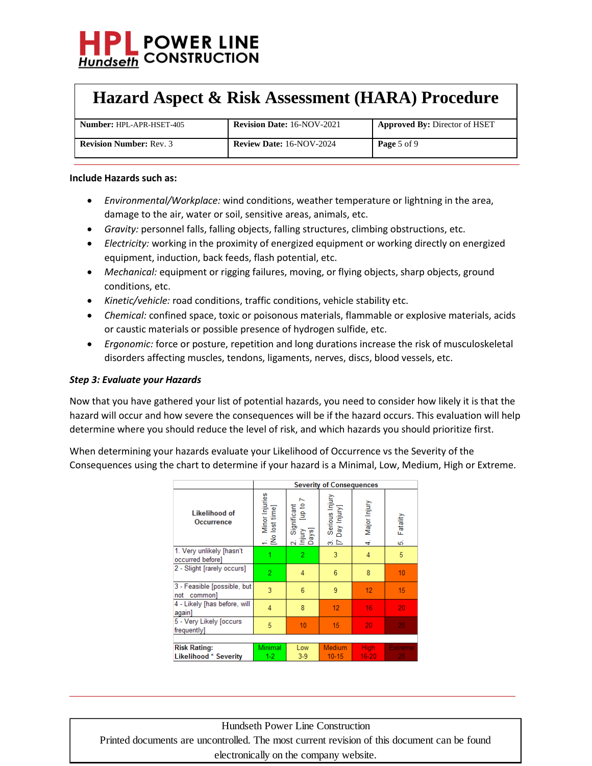

| <b>Number: HPL-APR-HSET-405</b> | <b>Revision Date: 16-NOV-2021</b> | Approved By: Director of HSET |
|---------------------------------|-----------------------------------|-------------------------------|
| <b>Revision Number: Rev. 3</b>  | <b>Review Date: 16-NOV-2024</b>   | Page 5 of 9                   |

### **Include Hazards such as:**

- *Environmental/Workplace:* wind conditions, weather temperature or lightning in the area, damage to the air, water or soil, sensitive areas, animals, etc.
- *Gravity:* personnel falls, falling objects, falling structures, climbing obstructions, etc.
- *Electricity:* working in the proximity of energized equipment or working directly on energized equipment, induction, back feeds, flash potential, etc.
- *Mechanical:* equipment or rigging failures, moving, or flying objects, sharp objects, ground conditions, etc.
- *Kinetic/vehicle:* road conditions, traffic conditions, vehicle stability etc.
- *Chemical:* confined space, toxic or poisonous materials, flammable or explosive materials, acids or caustic materials or possible presence of hydrogen sulfide, etc.
- *Ergonomic:* force or posture, repetition and long durations increase the risk of musculoskeletal disorders affecting muscles, tendons, ligaments, nerves, discs, blood vessels, etc.

### *Step 3: Evaluate your Hazards*

Now that you have gathered your list of potential hazards, you need to consider how likely it is that the hazard will occur and how severe the consequences will be if the hazard occurs. This evaluation will help determine where you should reduce the level of risk, and which hazards you should prioritize first.

When determining your hazards evaluate your Likelihood of Occurrence vs the Severity of the Consequences using the chart to determine if your hazard is a Minimal, Low, Medium, High or Extreme.

|                                              | <b>Severity of Consequences</b>    |                                                           |                                             |                    |                |
|----------------------------------------------|------------------------------------|-----------------------------------------------------------|---------------------------------------------|--------------------|----------------|
| <b>Likelihood of</b><br><b>Occurrence</b>    | Minor Injuries<br>lost time]<br>근원 | N<br>Significant<br>Jry [up to 7<br>ดี<br>เท่แทร<br>Days] | Serious Injury<br>Day Injury]<br>ო $\simeq$ | Major Injury<br>4Ê | Fatality<br>ωi |
| 1. Very unlikely [hasn't<br>occurred before] |                                    | $\overline{2}$                                            | 3                                           | $\overline{4}$     | 5              |
| 2 - Slight [rarely occurs]                   | $\overline{2}$                     | $\overline{4}$                                            | 6                                           | 8                  | 10             |
| 3 - Feasible [possible, but<br>common<br>not | 3                                  | 6                                                         | 9                                           | 12                 | 15             |
| 4 - Likely [has before, will<br>again]       | $\overline{4}$                     | 8                                                         | 12                                          | 16                 | 20             |
| 5 - Very Likely Joccurs<br>frequently]       | 5                                  | 10                                                        | 15                                          | 20                 | 25             |
|                                              |                                    |                                                           |                                             |                    |                |
| <b>Risk Rating:</b>                          | Minimal                            | Low                                                       | Medium                                      | <b>High</b>        | <b>Extreme</b> |
| <b>Likelihood * Severity</b>                 | $1-2$                              | $3-9$                                                     | $10 - 15$                                   | 16-20              | 25             |

# Hundseth Power Line Construction Printed documents are uncontrolled. The most current revision of this document can be found electronically on the company website.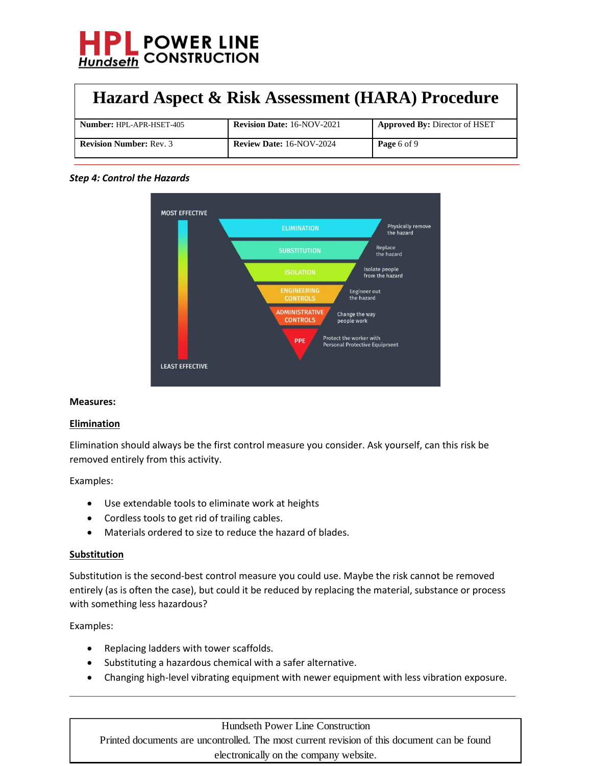

| <b>Hazard Aspect &amp; Risk Assessment (HARA) Procedure</b> |                                   |                                      |
|-------------------------------------------------------------|-----------------------------------|--------------------------------------|
| Number: HPL-APR-HSET-405                                    | <b>Revision Date: 16-NOV-2021</b> | <b>Approved By: Director of HSET</b> |
| <b>Revision Number: Rev. 3</b>                              | <b>Review Date: 16-NOV-2024</b>   | Page 6 of 9                          |

## *Step 4: Control the Hazards*



## **Measures:**

## **Elimination**

Elimination should always be the first control measure you consider. Ask yourself, can this risk be removed entirely from this activity.

Examples:

- Use extendable tools to eliminate work at heights
- Cordless tools to get rid of trailing cables.
- Materials ordered to size to reduce the hazard of blades.

### **Substitution**

Substitution is the second-best control measure you could use. Maybe the risk cannot be removed entirely (as is often the case), but could it be reduced by replacing the material, substance or process with something less hazardous?

Examples:

- Replacing ladders with tower scaffolds.
- Substituting a hazardous chemical with a safer alternative.
- Changing high-level vibrating equipment with newer equipment with less vibration exposure.

## Hundseth Power Line Construction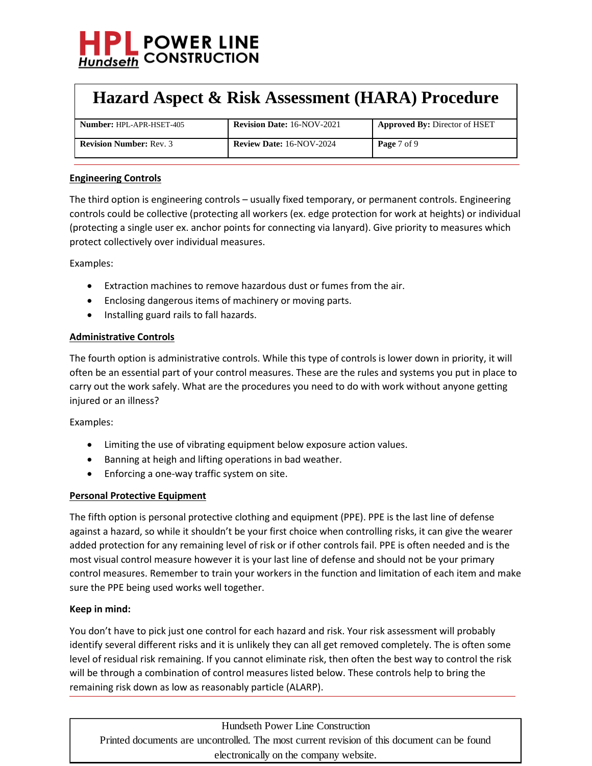

| Number: HPL-APR-HSET-405       | <b>Revision Date: 16-NOV-2021</b> | <b>Approved By: Director of HSET</b> |
|--------------------------------|-----------------------------------|--------------------------------------|
| <b>Revision Number: Rev. 3</b> | <b>Review Date: 16-NOV-2024</b>   | Page 7 of 9                          |

## **Engineering Controls**

The third option is engineering controls – usually fixed temporary, or permanent controls. Engineering controls could be collective (protecting all workers (ex. edge protection for work at heights) or individual (protecting a single user ex. anchor points for connecting via lanyard). Give priority to measures which protect collectively over individual measures.

Examples:

- Extraction machines to remove hazardous dust or fumes from the air.
- Enclosing dangerous items of machinery or moving parts.
- Installing guard rails to fall hazards.

## **Administrative Controls**

The fourth option is administrative controls. While this type of controls is lower down in priority, it will often be an essential part of your control measures. These are the rules and systems you put in place to carry out the work safely. What are the procedures you need to do with work without anyone getting injured or an illness?

Examples:

- Limiting the use of vibrating equipment below exposure action values.
- Banning at heigh and lifting operations in bad weather.
- Enforcing a one-way traffic system on site.

## **Personal Protective Equipment**

The fifth option is personal protective clothing and equipment (PPE). PPE is the last line of defense against a hazard, so while it shouldn't be your first choice when controlling risks, it can give the wearer added protection for any remaining level of risk or if other controls fail. PPE is often needed and is the most visual control measure however it is your last line of defense and should not be your primary control measures. Remember to train your workers in the function and limitation of each item and make sure the PPE being used works well together.

## **Keep in mind:**

You don't have to pick just one control for each hazard and risk. Your risk assessment will probably identify several different risks and it is unlikely they can all get removed completely. The is often some level of residual risk remaining. If you cannot eliminate risk, then often the best way to control the risk will be through a combination of control measures listed below. These controls help to bring the remaining risk down as low as reasonably particle (ALARP).

Hundseth Power Line Construction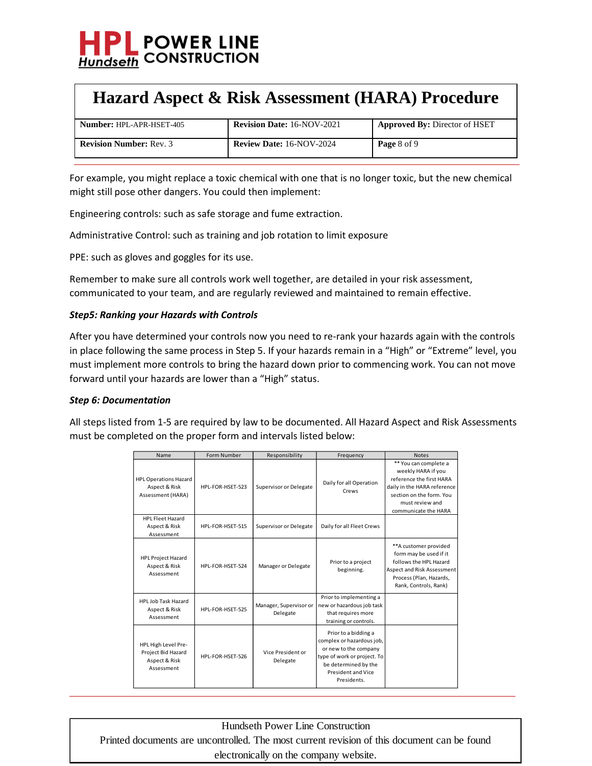

| Number: HPL-APR-HSET-405       | <b>Revision Date: 16-NOV-2021</b> | Approved By: Director of HSET |
|--------------------------------|-----------------------------------|-------------------------------|
| <b>Revision Number: Rev. 3</b> | <b>Review Date: 16-NOV-2024</b>   | Page 8 of 9                   |

For example, you might replace a toxic chemical with one that is no longer toxic, but the new chemical might still pose other dangers. You could then implement:

Engineering controls: such as safe storage and fume extraction.

Administrative Control: such as training and job rotation to limit exposure

PPE: such as gloves and goggles for its use.

Remember to make sure all controls work well together, are detailed in your risk assessment, communicated to your team, and are regularly reviewed and maintained to remain effective.

### *Step5: Ranking your Hazards with Controls*

After you have determined your controls now you need to re-rank your hazards again with the controls in place following the same process in Step 5. If your hazards remain in a "High" or "Extreme" level, you must implement more controls to bring the hazard down prior to commencing work. You can not move forward until your hazards are lower than a "High" status.

### *Step 6: Documentation*

All steps listed from 1-5 are required by law to be documented. All Hazard Aspect and Risk Assessments must be completed on the proper form and intervals listed below:

| Name                                                                     | Form Number      | Responsibility                     | Frequency                                                                                                                                                              | <b>Notes</b>                                                                                                                                                                  |
|--------------------------------------------------------------------------|------------------|------------------------------------|------------------------------------------------------------------------------------------------------------------------------------------------------------------------|-------------------------------------------------------------------------------------------------------------------------------------------------------------------------------|
| <b>HPL Operations Hazard</b><br>Aspect & Risk<br>Assessment (HARA)       | HPL-FOR-HSET-523 | Supervisor or Delegate             | Daily for all Operation<br>Crews                                                                                                                                       | ** You can complete a<br>weekly HARA if you<br>reference the first HARA<br>daily in the HARA reference<br>section on the form. You<br>must review and<br>communicate the HARA |
| <b>HPL Fleet Hazard</b><br>Aspect & Risk<br>Assessment                   | HPL-FOR-HSET-515 | Supervisor or Delegate             | Daily for all Fleet Crews                                                                                                                                              |                                                                                                                                                                               |
| <b>HPL Project Hazard</b><br>Aspect & Risk<br>Assessment                 | HPL-FOR-HSET-524 | Manager or Delegate                | Prior to a project<br>beginning.                                                                                                                                       | **A customer provided<br>form may be used if it<br>follows the HPL Hazard<br>Aspect and Risk Assessment<br>Process (Plan, Hazards,<br>Rank, Controls, Rank)                   |
| <b>HPL Job Task Hazard</b><br>Aspect & Risk<br>Assessment                | HPL-FOR-HSET-525 | Manager, Supervisor or<br>Delegate | Prior to implementing a<br>new or hazardous job task<br>that requires more<br>training or controls.                                                                    |                                                                                                                                                                               |
| HPL High Level Pre-<br>Project Bid Hazard<br>Aspect & Risk<br>Assessment | HPL-FOR-HSET-526 | Vice President or<br>Delegate      | Prior to a bidding a<br>complex or hazardous job,<br>or new to the company<br>type of work or project. To<br>be determined by the<br>President and Vice<br>Presidents. |                                                                                                                                                                               |

Hundseth Power Line Construction Printed documents are uncontrolled. The most current revision of this document can be found electronically on the company website.